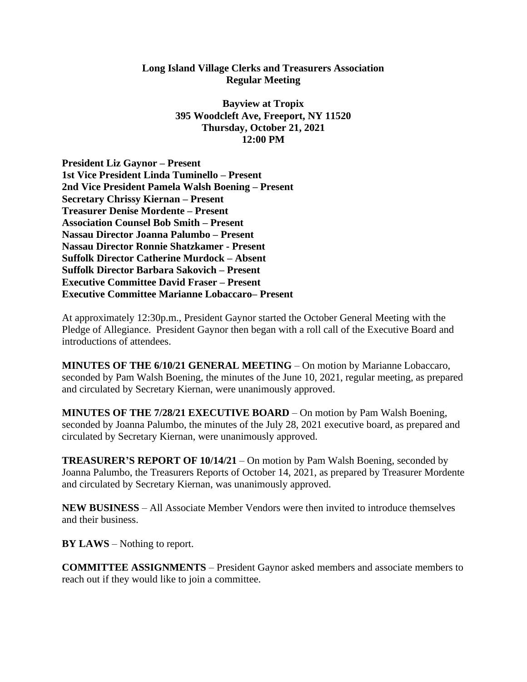## **Long Island Village Clerks and Treasurers Association Regular Meeting**

**Bayview at Tropix 395 Woodcleft Ave, Freeport, NY 11520 Thursday, October 21, 2021 12:00 PM**

**President Liz Gaynor – Present 1st Vice President Linda Tuminello – Present 2nd Vice President Pamela Walsh Boening – Present Secretary Chrissy Kiernan – Present Treasurer Denise Mordente – Present Association Counsel Bob Smith – Present Nassau Director Joanna Palumbo – Present Nassau Director Ronnie Shatzkamer - Present Suffolk Director Catherine Murdock – Absent Suffolk Director Barbara Sakovich – Present Executive Committee David Fraser – Present Executive Committee Marianne Lobaccaro– Present**

At approximately 12:30p.m., President Gaynor started the October General Meeting with the Pledge of Allegiance. President Gaynor then began with a roll call of the Executive Board and introductions of attendees.

**MINUTES OF THE 6/10/21 GENERAL MEETING** – On motion by Marianne Lobaccaro, seconded by Pam Walsh Boening, the minutes of the June 10, 2021, regular meeting, as prepared and circulated by Secretary Kiernan, were unanimously approved.

**MINUTES OF THE 7/28/21 EXECUTIVE BOARD** – On motion by Pam Walsh Boening, seconded by Joanna Palumbo, the minutes of the July 28, 2021 executive board, as prepared and circulated by Secretary Kiernan, were unanimously approved.

**TREASURER'S REPORT OF 10/14/21** – On motion by Pam Walsh Boening, seconded by Joanna Palumbo, the Treasurers Reports of October 14, 2021, as prepared by Treasurer Mordente and circulated by Secretary Kiernan, was unanimously approved.

**NEW BUSINESS** – All Associate Member Vendors were then invited to introduce themselves and their business.

**BY LAWS** – Nothing to report.

**COMMITTEE ASSIGNMENTS** – President Gaynor asked members and associate members to reach out if they would like to join a committee.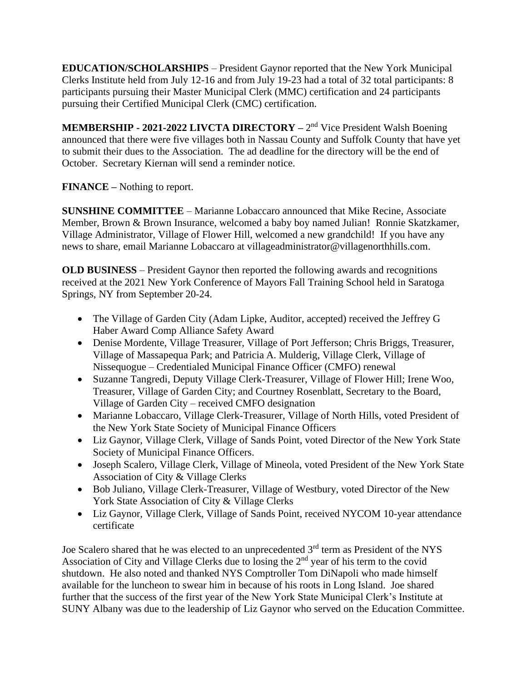**EDUCATION/SCHOLARSHIPS** – President Gaynor reported that the New York Municipal Clerks Institute held from July 12-16 and from July 19-23 had a total of 32 total participants: 8 participants pursuing their Master Municipal Clerk (MMC) certification and 24 participants pursuing their Certified Municipal Clerk (CMC) certification.

**MEMBERSHIP - 2021-2022 LIVCTA DIRECTORY** – 2<sup>nd</sup> Vice President Walsh Boening announced that there were five villages both in Nassau County and Suffolk County that have yet to submit their dues to the Association. The ad deadline for the directory will be the end of October. Secretary Kiernan will send a reminder notice.

**FINANCE –** Nothing to report.

**SUNSHINE COMMITTEE** – Marianne Lobaccaro announced that Mike Recine, Associate Member, Brown & Brown Insurance, welcomed a baby boy named Julian! Ronnie Skatzkamer, Village Administrator, Village of Flower Hill, welcomed a new grandchild! If you have any news to share, email Marianne Lobaccaro at villageadministrator@villagenorthhills.com.

**OLD BUSINESS** – President Gaynor then reported the following awards and recognitions received at the 2021 New York Conference of Mayors Fall Training School held in Saratoga Springs, NY from September 20-24.

- The Village of Garden City (Adam Lipke, Auditor, accepted) received the Jeffrey G Haber Award Comp Alliance Safety Award
- Denise Mordente, Village Treasurer, Village of Port Jefferson; Chris Briggs, Treasurer, Village of Massapequa Park; and Patricia A. Mulderig, Village Clerk, Village of Nissequogue – Credentialed Municipal Finance Officer (CMFO) renewal
- Suzanne Tangredi, Deputy Village Clerk-Treasurer, Village of Flower Hill; Irene Woo, Treasurer, Village of Garden City; and Courtney Rosenblatt, Secretary to the Board, Village of Garden City – received CMFO designation
- Marianne Lobaccaro, Village Clerk-Treasurer, Village of North Hills, voted President of the New York State Society of Municipal Finance Officers
- Liz Gaynor, Village Clerk, Village of Sands Point, voted Director of the New York State Society of Municipal Finance Officers.
- Joseph Scalero, Village Clerk, Village of Mineola, voted President of the New York State Association of City & Village Clerks
- Bob Juliano, Village Clerk-Treasurer, Village of Westbury, voted Director of the New York State Association of City & Village Clerks
- Liz Gaynor, Village Clerk, Village of Sands Point, received NYCOM 10-year attendance certificate

Joe Scalero shared that he was elected to an unprecedented 3<sup>rd</sup> term as President of the NYS Association of City and Village Clerks due to losing the 2<sup>nd</sup> year of his term to the covid shutdown. He also noted and thanked NYS Comptroller Tom DiNapoli who made himself available for the luncheon to swear him in because of his roots in Long Island. Joe shared further that the success of the first year of the New York State Municipal Clerk's Institute at SUNY Albany was due to the leadership of Liz Gaynor who served on the Education Committee.